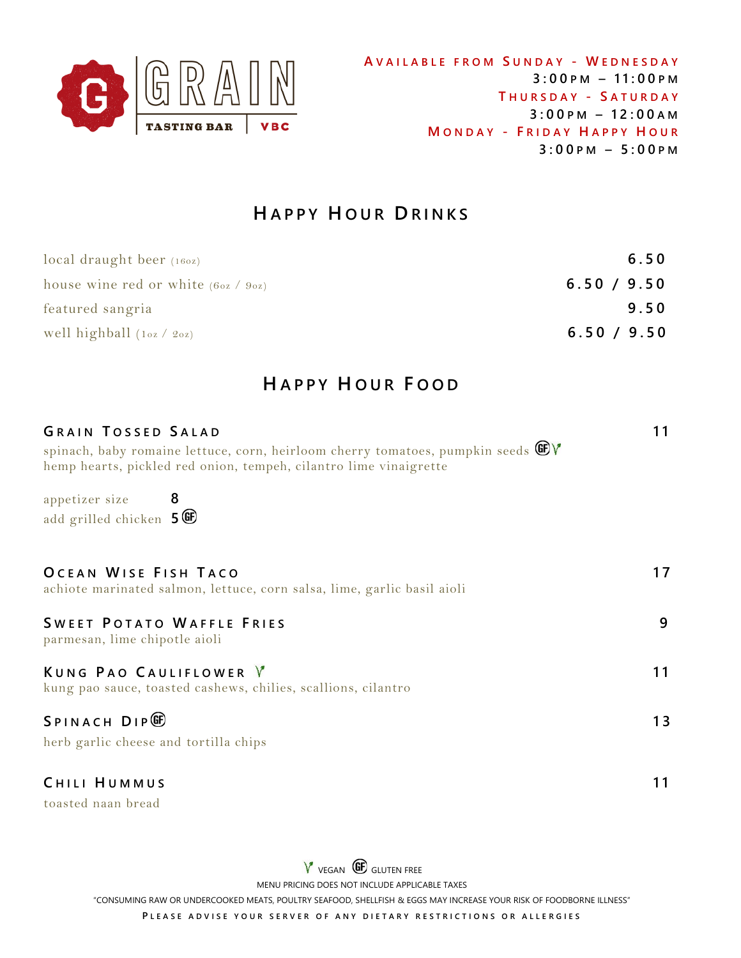

# **H A P P Y H O U R D R I N K S**

| $local$ draught beer $(160z)$           | 6.50        |
|-----------------------------------------|-------------|
| house wine red or white $(60z / 90z)$   | 6.50 / 9.50 |
| featured sangria                        | 9.50        |
| well highball $(1 \circ z / 2 \circ z)$ | 6.50 / 9.50 |

# **H A P P Y H O U R F OOD**

| <b>GRAIN TOSSED SALAD</b><br>spinach, baby romaine lettuce, corn, heirloom cherry tomatoes, pumpkin seeds GV<br>hemp hearts, pickled red onion, tempeh, cilantro lime vinaigrette |    |
|-----------------------------------------------------------------------------------------------------------------------------------------------------------------------------------|----|
| appetizer size 8<br>add grilled chicken 5 <sup>666</sup>                                                                                                                          |    |
| OCEAN WISE FISH TACO<br>achiote marinated salmon, lettuce, corn salsa, lime, garlic basil aioli                                                                                   | 17 |
| <b>SWEET POTATO WAFFLE FRIES</b><br>parmesan, lime chipotle aioli                                                                                                                 | 9  |
| KUNG PAO CAULIFLOWER V<br>kung pao sauce, toasted cashews, chilies, scallions, cilantro                                                                                           | 11 |
| SPINACH DIP <sup>®</sup><br>herb garlic cheese and tortilla chips                                                                                                                 | 13 |
| CHILI HUMMUS                                                                                                                                                                      | 11 |

toasted naan bread

 $V$  vegan  $\bigoplus$  gluten free MENU PRICING DOES NOT INCLUDE APPLICABLE TAXES "CONSUMING RAW OR UNDERCOOKED MEATS, POULTRY SEAFOOD, SHELLFISH & EGGS MAY INCREASE YOUR RISK OF FOODBORNE ILLNESS"

PLEASE ADVISE YOUR SERVER OF ANY DIETARY RESTRICTIONS OR ALLERGIES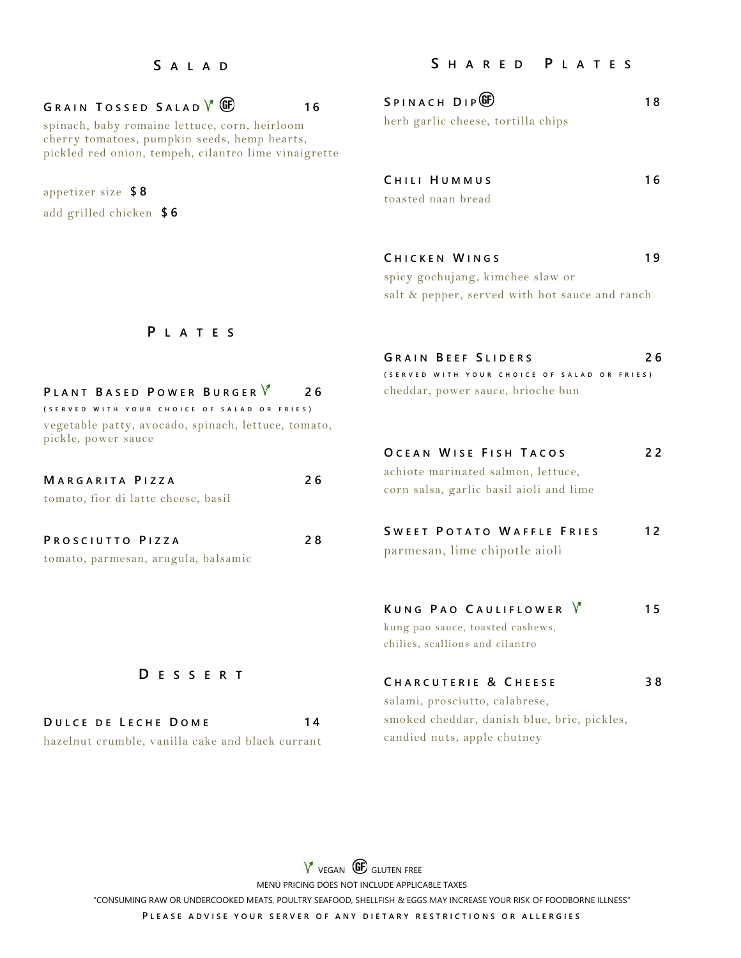#### **S A L A D**

## $G$  **RAIN TOSSED SALAD**  $\sqrt{\frac{G}{m}}$  **16**

spinach, baby romaine lettuce, corn, heirloom cherry tomatoes, pumpkin seeds, hemp hearts, pickled red onion, tempeh, cilantro lime vinaigrette

appetizer size **\$ 8**

add grilled chicken **\$ 6**

## **S H A R E D P L A T E S**

| SPINACH DIP <sup>ED</sup>          | 18 |
|------------------------------------|----|
| herb garlic cheese, tortilla chips |    |
|                                    |    |

| CHILI HUMMUS       | 16 |
|--------------------|----|
| toasted naan bread |    |

| CHICKEN WINGS                    |  |  |
|----------------------------------|--|--|
| spicy gochujang, kimchee slaw or |  |  |

salt & pepper, served with hot sauce and ranch

**G R A I N B E E F S L I D E R S 2 6 ( S E R V E D W I T H Y O U R C H O I C E O F S A L A D O R F R I E S )**

**O C E A N W I S E F I S H T A C O S 2 2**

cheddar, power sauce, brioche bun

## **P L A T E S**

| PLANT BASED POWER BURGER V                                                 | 26  |
|----------------------------------------------------------------------------|-----|
| (SERVED WITH YOUR CHOICE OF SALAD OR FRIES)                                |     |
| vegetable patty, avocado, spinach, lettuce, tomato,<br>pickle, power sauce |     |
| MARGARITA PIZZA                                                            | 26  |
| tomato, fior di latte cheese, basil                                        |     |
| PROSCIUTTO PIZZA                                                           | 2 R |

**D E S S E R T** 

**D U L C E D E L E C H E D O M E 1 4** hazelnut crumble, vanilla cake and black currant

tomato, parmesan, arugula, balsamic

|    | <b>SWEET POTATO WAFFLE FRIE</b>         |  |  |
|----|-----------------------------------------|--|--|
|    | corn salsa, garlic basil aioli and lime |  |  |
| 26 | achiote marinated salmon, lettuce,      |  |  |

| <b>SWEET POTATO WAFFLE FRIES</b> | 12 |
|----------------------------------|----|
| parmesan, lime chipotle aioli    |    |

## **K U N G P A O C A U L I F L O W E R 1 5**

kung pao sauce, toasted cashews, chilies, scallions and cilantro

## **C H A R C U T E R I E & C H E E S E 3 8** salami, prosciutto, calabrese,

smoked cheddar, danish blue, brie, pickles, candied nuts, apple chutney

 $V$  vegan  $\circledast$  gluten free MENU PRICING DOES NOT INCLUDE APPLICABLE TAXES "CONSUMING RAW OR UNDERCOOKED MEATS, POULTRY SEAFOOD, SHELLFISH & EGGS MAY INCREASE YOUR RISK OF FOODBORNE ILLNESS" PLEASE ADVISE YOUR SERVER OF ANY DIETARY RESTRICTIONS OR ALLERGIES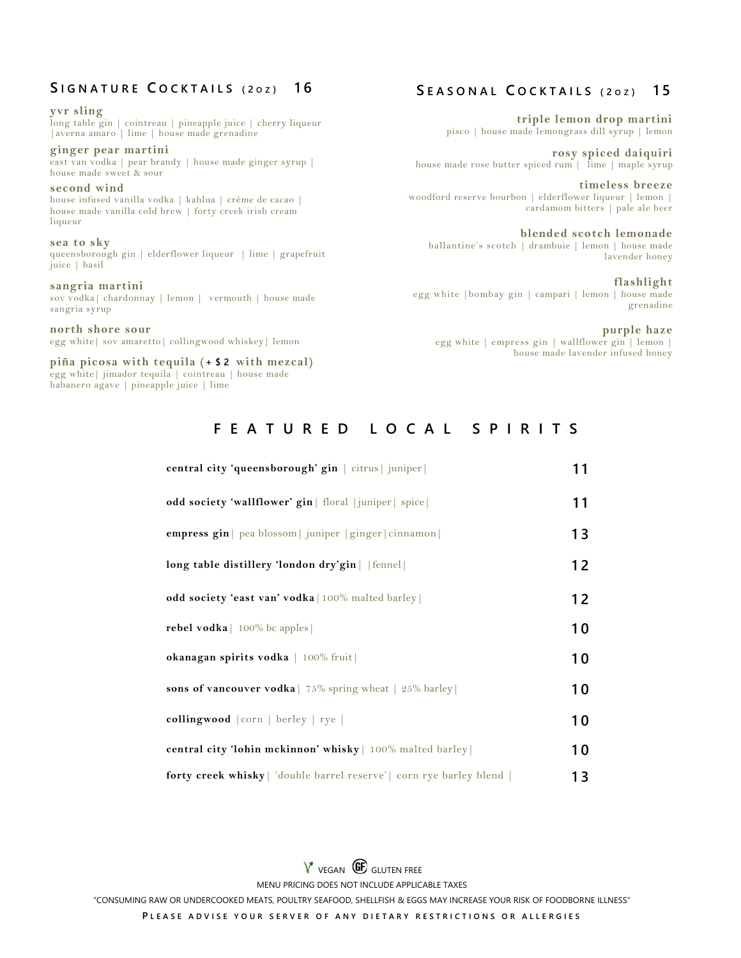## **S I G N A T U R E C O C K T A I L S ( 2 O Z ) 1 6**

**yvr sling** long table gin | cointreau | pineapple juice | cherry liqueur |averna amaro | lime | house made grenadine **ginger pear martini** east van vodka | pear brandy | house made ginger syrup | house made sweet & sour **second wind** house infused vanilla vodka | kahlua | crème de cacao | house made vanilla cold brew | forty creek irish cream liqueur **sea to sky** queensborough gin | elderflower liqueur | lime | grapefruit juice | basil **sangria martini** sov vodka| chardonnay | lemon | vermouth | house made sangria syrup

**north shore sour** egg white| sov amaretto| collingwood whiskey| lemon

**piña picosa with tequila (+ \$ 2 with mezcal)**  egg white| jimador tequila | cointreau | house made habanero agave | pineapple juice | lime

## **S E A S O N A L C O C K T A I L S ( 2 O Z ) 1 5**

**triple lemon drop martini** pisco | house made lemongrass dill syrup | lemon

**rosy spiced daiquiri** house made rose butter spiced rum | lime | maple syrup

**timeless breeze** woodford reserve bourbon | elderflower liqueur | lemon | cardamom bitters | pale ale beer

**blended scotch lemonade** ballantine's scotch | drambuie | lemon | house made lavender honey

**flashlight** egg white |bombay gin | campari | lemon | house made grenadine

**purple haze** egg white | empress gin | wallflower gin | lemon | house made lavender infused honey

## **F E A T U R E D L O C A L S P I R I T S**

| central city 'queensborough' gin   citrus   juniper                         | 11 |
|-----------------------------------------------------------------------------|----|
| odd society 'wallflower' gin   floral  juniper   spice                      | 11 |
| empress gin   pea blossom   juniper   ginger   cinnamon                     | 13 |
| long table distillery 'london dry'gin     fennel                            | 12 |
| odd society 'east van' vodka   100% malted barley                           | 12 |
| <b>rebel vodka</b>   $100\%$ bc apples                                      | 10 |
| okanagan spirits vodka   100% fruit                                         | 10 |
| <b>sons of vancouver vodka</b>   75% spring wheat $\vert$ 25% barley        | 10 |
| collingwood   corn   berley   rye                                           | 10 |
| central city 'lohin mckinnon' whisky   100% malted barley                   | 10 |
| <b>forty creek whisky</b>   'double barrel reserve'   corn rye barley blend | 13 |

 $V$  vegan  $\bigoplus$  gluten free MENU PRICING DOES NOT INCLUDE APPLICABLE TAXES "CONSUMING RAW OR UNDERCOOKED MEATS, POULTRY SEAFOOD, SHELLFISH & EGGS MAY INCREASE YOUR RISK OF FOODBORNE ILLNESS" **PLEASE ADVISE YOUR SERVER OF ANY DIETARY RESTRICTIONS OR ALLERGIES**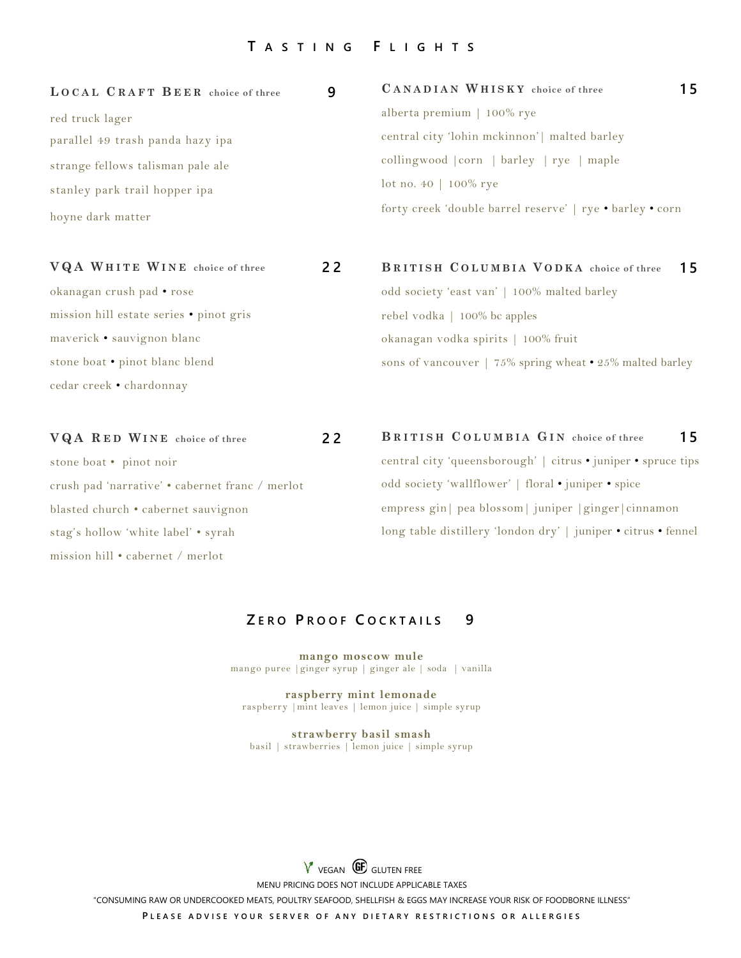#### **T A S T I N G F L I G H T S**

**L O C A L C R A F T B E E R choice of three 9**

| alberta premium $\vert$ 100% rye                          |
|-----------------------------------------------------------|
| central city 'lohin mckinnon'   malted barley             |
| collingwood corn   barley   rye   maple                   |
| $lot$ no. 40   100% rye                                   |
| forty creek 'double barrel reserve'   rye • barley • corn |
|                                                           |

**V Q A W H I T E W I N E choice of three 2 2**

okanagan crush pad • rose mission hill estate series • pinot gris maverick • sauvignon blanc stone boat • pinot blanc blend cedar creek • chardonnay

**V Q A R E D W I N E choice of three 2 2** stone boat • pinot noir crush pad 'narrative' • cabernet franc / merlot blasted church • cabernet sauvignon stag's hollow 'white label' • syrah mission hill • cabernet / merlot

**B R I T I S H C O L U M B I A G I N choice of three 1 5** central city 'queensborough' | citrus • juniper • spruce tips odd society 'wallflower' | floral • juniper • spice empress gin| pea blossom| juniper |ginger|cinnamon long table distillery 'london dry' | juniper • citrus • fennel

**C A N A D I A N W H I S K Y choice of three 1 5**

**B R I T I S H C O L U M B I A V O D K A choice of three 1 5**

sons of vancouver | 75% spring wheat • 25% malted barley

odd society 'east van' | 100% malted barley

rebel vodka | 100% bc apples

okanagan vodka spirits | 100% fruit

## **Z E R O P R O O F C O C K T A I L S 9**

**mango moscow mule** mango puree |ginger syrup | ginger ale | soda | vanilla

**raspberry mint lemonade** raspberry |mint leaves | lemon juice | simple syrup

**strawberry basil smash** basil | strawberries | lemon juice | simple syrup

V VEGAN **GE** GLUTEN FREE MENU PRICING DOES NOT INCLUDE APPLICABLE TAXES "CONSUMING RAW OR UNDERCOOKED MEATS, POULTRY SEAFOOD, SHELLFISH & EGGS MAY INCREASE YOUR RISK OF FOODBORNE ILLNESS" PLEASE ADVISE YOUR SERVER OF ANY DIETARY RESTRICTIONS OR ALLERGIES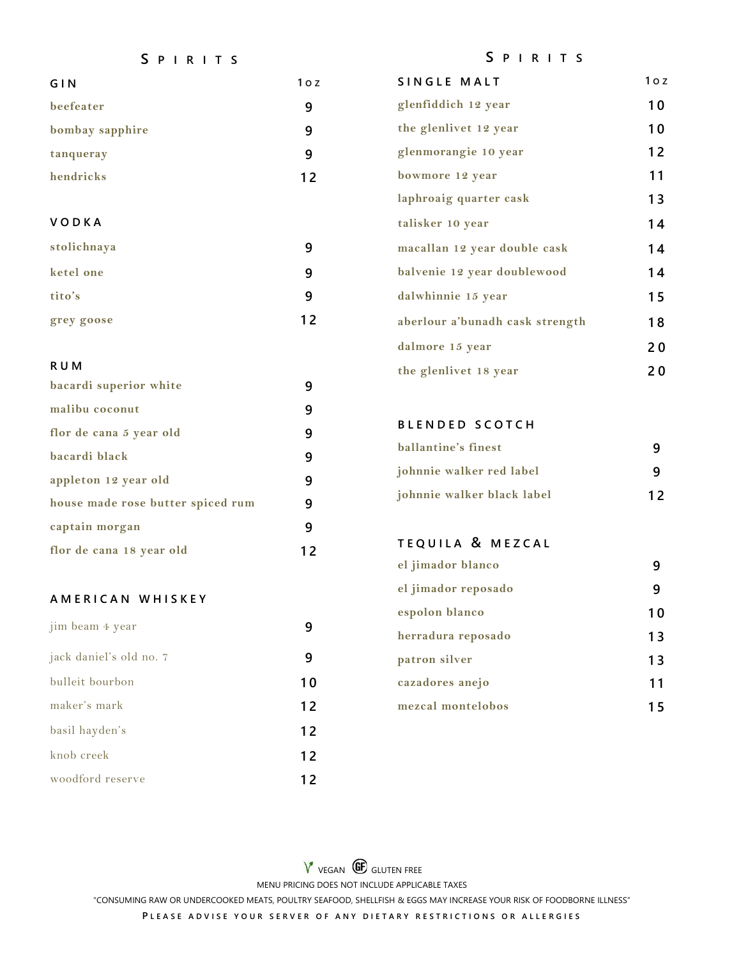#### **S P I R I T S**

### **S P I R I T S**

| GIN             | 10Z | SINGLE MALT                     | $1o$ z |
|-----------------|-----|---------------------------------|--------|
| beefeater       | 9   | glenfiddich 12 year             | 10     |
| bombay sapphire | 9   | the glenlivet 12 year           | 10     |
| tanqueray       | 9   | glenmorangie 10 year            | 12     |
| hendricks       | 12  | bowmore 12 year                 | 11     |
|                 |     | laphroaig quarter cask          | 13     |
| <b>VODKA</b>    |     | talisker 10 year                | 14     |
| stolichnaya     | 9   | macallan 12 year double cask    | 14     |
| ketel one       | 9   | balvenie 12 year doublewood     | 14     |
| tito's          | 9   | dalwhinnie 15 year              | 15     |
| grey goose      | 12  | aberlour a'bunadh cask strength | 18     |
|                 |     | dalmore 15 year                 | 20     |

### **R U M**

| bacardi superior white            |    |
|-----------------------------------|----|
| malibu coconut                    |    |
| flor de cana 5 year old           |    |
| bacardi black                     |    |
| appleton 12 year old              |    |
| house made rose butter spiced rum | 9  |
| captain morgan                    |    |
| flor de cana 18 year old          | 12 |

### **A M E R I C A N W H I S K E Y**

| jim beam 4 year         |    |
|-------------------------|----|
| jack daniel's old no. 7 |    |
| bulleit bourbon         | 10 |
| maker's mark            | 12 |
| basil hayden's          | 12 |
| knob creek              | 12 |
| woodford reserve        | 12 |

| the glenlivet 18 year | 20 |
|-----------------------|----|
| BLENDED SCOTCH        |    |
| ballantine's finest   |    |

| johnnie walker red label   |    |
|----------------------------|----|
| johnnie walker black label | 12 |

# **T E Q U I L A & M E Z C A L**

| el jimador blanco   |    |
|---------------------|----|
| el jimador reposado |    |
| espolon blanco      |    |
| herradura reposado  | 13 |
| patron silver       | 13 |
| cazadores anejo     | 11 |
| mezcal montelobos   |    |

V VEGAN **GD** GLUTEN FREE MENU PRICING DOES NOT INCLUDE APPLICABLE TAXES "CONSUMING RAW OR UNDERCOOKED MEATS, POULTRY SEAFOOD, SHELLFISH & EGGS MAY INCREASE YOUR RISK OF FOODBORNE ILLNESS" PLEASE ADVISE YOUR SERVER OF ANY DIETARY RESTRICTIONS OR ALLERGIES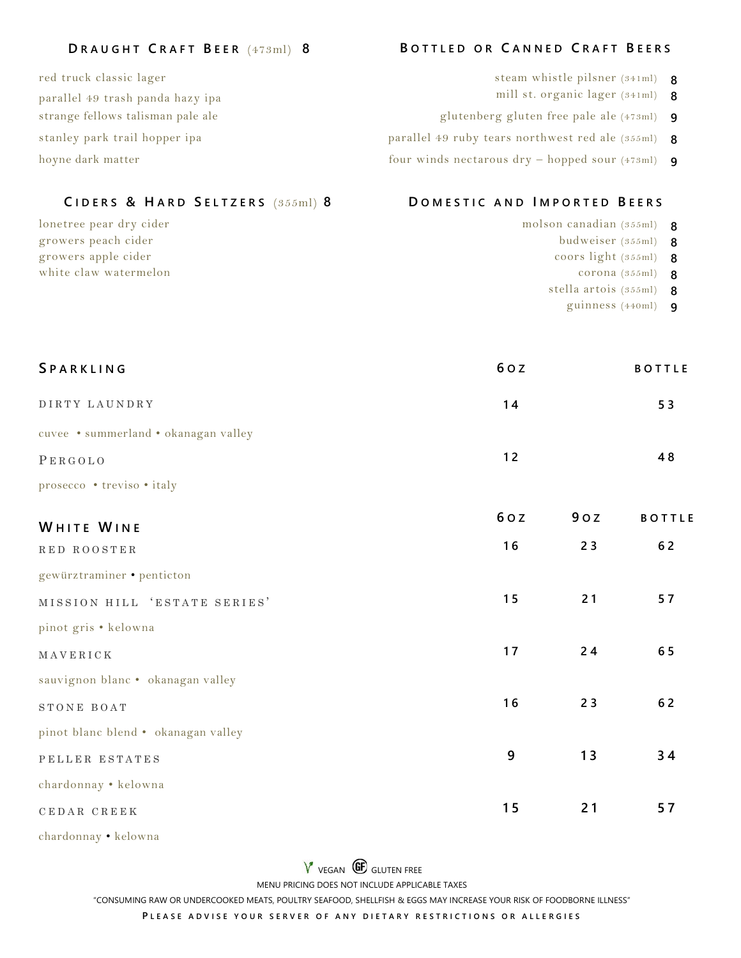### **D R A U G H T C R A F T B EER** (473ml) **8 B O T T L E D O R C A N N E D C R A F T B E E R S**

red truck classic lager steam whistle pilsner (341ml) **8** parallel 49 trash panda hazy ipa mill st. organic lager (341ml) **8**

## **C I D E R S & H A R D S E L T Z E R S** (355ml) **8 D O M E S T I C A N D I M P O R T E D B E E R S**

growers peach cider budweiser (355ml) **8** growers apple cider **8** coors light (355ml) **8** white claw watermelon **8** corona (355ml) **8** 

- 
- 
- strange fellows talisman pale ale glutenberg gluten free pale ale (473ml) **9**
- stanley park trail hopper ipa parallel 49 ruby tears northwest red ale (355ml) **8**
- hoyne dark matter four winds nectarous dry hopped sour (473ml) **9**

- lonetree pear dry cider molson canadian (355ml) **8**
	-
	- -
	- stella artois (355ml) **8**
		- guinness (440ml) **9**

| SPARKLING                            | 60Z |     | <b>BOTTLE</b> |
|--------------------------------------|-----|-----|---------------|
| DIRTY LAUNDRY                        | 14  |     | 53            |
| cuvee · summerland · okanagan valley |     |     |               |
| PERGOLO                              | 12  |     | 48            |
| prosecco • treviso • italy           |     |     |               |
| WHITE WINE                           | 60Z | 90Z | <b>BOTTLE</b> |
| RED ROOSTER                          | 16  | 23  | 62            |
| gewürztraminer · penticton           |     |     |               |
| MISSION HILL 'ESTATE SERIES'         | 15  | 21  | 57            |
| pinot gris · kelowna                 |     |     |               |
| MAVERICK                             | 17  | 24  | 65            |
| sauvignon blanc · okanagan valley    |     |     |               |
| STONE BOAT                           | 16  | 23  | 62            |
| pinot blanc blend · okanagan valley  |     |     |               |
| PELLER ESTATES                       | 9   | 13  | 34            |
| chardonnay · kelowna                 |     |     |               |
| CEDAR CREEK                          | 15  | 21  | 57            |

chardonnay • kelowna

 $V$  vegan  $\bigoplus$  gluten free

MENU PRICING DOES NOT INCLUDE APPLICABLE TAXES

"CONSUMING RAW OR UNDERCOOKED MEATS, POULTRY SEAFOOD, SHELLFISH & EGGS MAY INCREASE YOUR RISK OF FOODBORNE ILLNESS"

PLEASE ADVISE YOUR SERVER OF ANY DIETARY RESTRICTIONS OR ALLERGIES